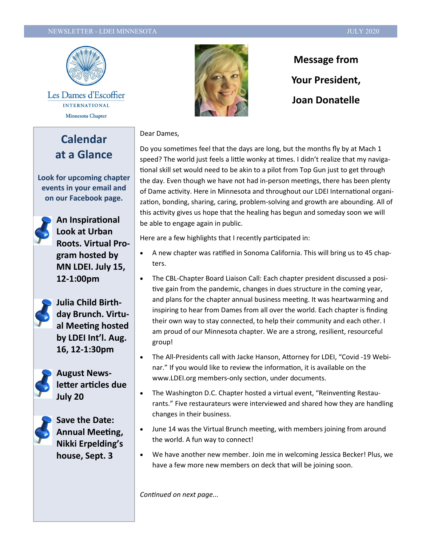#### NEWSLETTER - LDEI MINNESOTA JULY 2020



Les Dames d'Escoffier **INTERNATIONAL** Minnesota Chapter

**Calendar at a Glance**

**Look for upcoming chapter events in your email and on our Facebook page.**



**An Inspirational Look at Urban Roots. Virtual Program hosted by MN LDEI. July 15, 12-1:00pm**



**Julia Child Birthday Brunch. Virtual Meeting hosted by LDEI Int'l. Aug. 16, 12-1:30pm**



**August Newsletter articles due July 20**



**Save the Date: Annual Meeting, Nikki Erpelding's house, Sept. 3**



**Message from Your President, Joan Donatelle** 

#### Dear Dames,

Do you sometimes feel that the days are long, but the months fly by at Mach 1 speed? The world just feels a little wonky at times. I didn't realize that my navigational skill set would need to be akin to a pilot from Top Gun just to get through the day. Even though we have not had in-person meetings, there has been plenty of Dame activity. Here in Minnesota and throughout our LDEI International organization, bonding, sharing, caring, problem-solving and growth are abounding. All of this activity gives us hope that the healing has begun and someday soon we will be able to engage again in public.

Here are a few highlights that I recently participated in:

- A new chapter was ratified in Sonoma California. This will bring us to 45 chapters.
- The CBL-Chapter Board Liaison Call: Each chapter president discussed a positive gain from the pandemic, changes in dues structure in the coming year, and plans for the chapter annual business meeting. It was heartwarming and inspiring to hear from Dames from all over the world. Each chapter is finding their own way to stay connected, to help their community and each other. I am proud of our Minnesota chapter. We are a strong, resilient, resourceful group!
- The All-Presidents call with Jacke Hanson, Attorney for LDEI, "Covid -19 Webinar." If you would like to review the information, it is available on the www.LDEI.org members-only section, under documents.
- The Washington D.C. Chapter hosted a virtual event, "Reinventing Restaurants." Five restaurateurs were interviewed and shared how they are handling changes in their business.
- June 14 was the Virtual Brunch meeting, with members joining from around the world. A fun way to connect!
- We have another new member. Join me in welcoming Jessica Becker! Plus, we have a few more new members on deck that will be joining soon.

*Continued on next page...*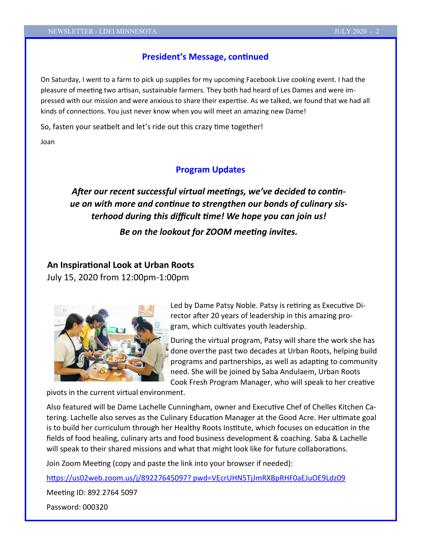#### **President's Message, continued**

On Saturday, I went to a farm to pick up supplies for my upcoming Facebook Live cooking event. I had the pleasure of meeting two artisan, sustainable farmers. They both had heard of Les Dames and were impressed with our mission and were anxious to share their expertise. As we talked, we found that we had all kinds of connections. You just never know when you will meet an amazing new Dame!

So, fasten your seatbelt and let's ride out this crazy time together!

Joan

#### **Program Updates**

# *After our recent successful virtual meetings, we've decided to continue on with more and continue to strengthen our bonds of culinary sisterhood during this difficult time! We hope you can join us!*

*Be on the lookout for ZOOM meeting invites.*

# **An Inspirational Look at Urban Roots**

July 15, 2020 from 12:00pm-1:00pm



Led by Dame Patsy Noble. Patsy is retiring as Executive Director after 20 years of leadership in this amazing program, which cultivates youth leadership.

During the virtual program, Patsy will share the work she has done overthe past two decades at Urban Roots, helping build programs and partnerships, as well as adapting to community need. She will be joined by Saba Andulaem, Urban Roots Cook Fresh Program Manager, who will speak to her creative

pivots in the current virtual environment.

Also featured will be Dame Lachelle Cunningham, owner and Executive Chef of Chelles Kitchen Catering. Lachelle also serves as the Culinary Education Manager at the Good Acre. Her ultimate goal is to build her curriculum through her Healthy Roots Institute, which focuses on education in the fields of food healing, culinary arts and food business development & coaching. Saba & Lachelle will speak to their shared missions and what that might look like for future collaborations.

Join Zoom Meeting (copy and paste the link into your browser if needed):

[https://us02web.zoom.us/j/89227645097? pwd=VEcrUHN5TjJmRXBpRHF0aEJuOE9Ldz09](https://us02web.zoom.us/j/89227645097?%20pwd=VEcrUHN5TjJmRXBpRHF0aEJuOE9Ldz09)

Meeting ID: 892 2764 5097

Password: 000320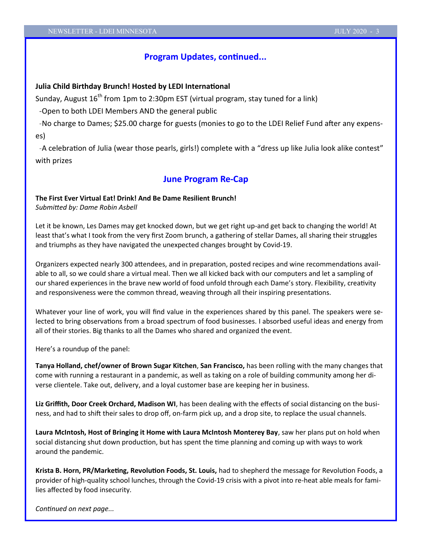#### **Program Updates, continued...**

#### **Julia Child Birthday Brunch! Hosted by LEDI International**

Sunday, August 16<sup>th</sup> from 1pm to 2:30pm EST (virtual program, stay tuned for a link)

-Open to both LDEI Members AND the general public

 -No charge to Dames; \$25.00 charge for guests (monies to go to the LDEI Relief Fund after any expenses)

 -A celebration of Julia (wear those pearls, girls!) complete with a "dress up like Julia look alike contest" with prizes

#### **June Program Re-Cap**

#### **The First Ever Virtual Eat! Drink! And Be Dame Resilient Brunch!**

*Submitted by: Dame Robin Asbell*

Let it be known, Les Dames may get knocked down, but we get right up-and get back to changing the world! At least that's what I took from the very first Zoom brunch, a gathering of stellar Dames, all sharing their struggles and triumphs as they have navigated the unexpected changes brought by Covid-19.

Organizers expected nearly 300 attendees, and in preparation, posted recipes and wine recommendations available to all, so we could share a virtual meal. Then we all kicked back with our computers and let a sampling of our shared experiences in the brave new world of food unfold through each Dame's story. Flexibility, creativity and responsiveness were the common thread, weaving through all their inspiring presentations.

Whatever your line of work, you will find value in the experiences shared by this panel. The speakers were selected to bring observations from a broad spectrum of food businesses. I absorbed useful ideas and energy from all of their stories. Big thanks to all the Dames who shared and organized the event.

Here's a roundup of the panel:

**Tanya Holland, chef/owner of Brown Sugar Kitchen**, **San Francisco,** has been rolling with the many changes that come with running a restaurant in a pandemic, as well as taking on a role of building community among her diverse clientele. Take out, delivery, and a loyal customer base are keeping her in business.

**Liz Griffith, Door Creek Orchard, Madison WI**, has been dealing with the effects of social distancing on the business, and had to shift their sales to drop off, on-farm pick up, and a drop site, to replace the usual channels.

**Laura McIntosh, Host of Bringing it Home with Laura McIntosh Monterey Bay**, saw her plans put on hold when social distancing shut down production, but has spent the time planning and coming up with ways to work around the pandemic.

**Krista B. Horn, PR/Marketing, Revolution Foods, St. Louis,** had to shepherd the message for Revolution Foods, a provider of high-quality school lunches, through the Covid-19 crisis with a pivot into re-heat able meals for families affected by food insecurity.

*Continued on next page...*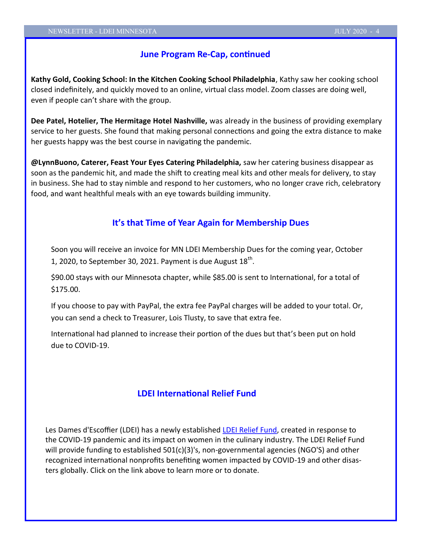#### **June Program Re-Cap, continued**

**Kathy Gold, Cooking School: In the Kitchen Cooking School Philadelphia**, Kathy saw her cooking school closed indefinitely, and quickly moved to an online, virtual class model. Zoom classes are doing well, even if people can't share with the group.

**Dee Patel, Hotelier, The Hermitage Hotel Nashville,** was already in the business of providing exemplary service to her guests. She found that making personal connections and going the extra distance to make her guests happy was the best course in navigating the pandemic.

**@LynnBuono, Caterer, Feast Your Eyes Catering Philadelphia,** saw her catering business disappear as soon as the [pandemic hit, and made the shift to creating meal k](https://www.myrecipes.com/news/can-coronavirus-spread-through-food?did=506548-20200328&utm_campaign=well-done_newsletter&utm_source=myrecipes.com&utm_medium=email&utm_content=032820)its and other meals for delivery, to stay in business. She had to stay nimble and respond to her customers, who no longer crave rich, celebratory food, and want healthful meals with an eye towards building immunity.

#### **It's that Time of Year Again for Membership Dues**

Soon you will receive an invoice for MN LDEI Membership Dues for the coming year, October 1, 2020, to September 30, 2021. Payment is due August  $18^{th}$ .

\$90.00 stays with our Minnesota chapter, while \$85.00 is sent to International, for a total of \$175.00.

If you choose to pay with PayPal, the extra fee PayPal charges will be added to your total. Or, you can send a check to Treasurer, Lois Tlusty, to save that extra fee.

International had planned to increase their portion of the dues but that's been put on hold due to COVID-19.

#### **LDEI International Relief Fund**

Les Dames d'Escoffier (LDEI) has a newly established [LDEI Relief Fund,](http://ldei.org/index.php?com=home&action=readnews&id=223) created in response to the COVID-19 pandemic and its impact on women in the culinary industry. The LDEI Relief Fund will provide funding to established 501(c)(3)'s, non-governmental agencies (NGO'S) and other recognized international nonprofits benefiting women impacted by COVID-19 and other disasters globally. Click on the link above to learn more or to donate.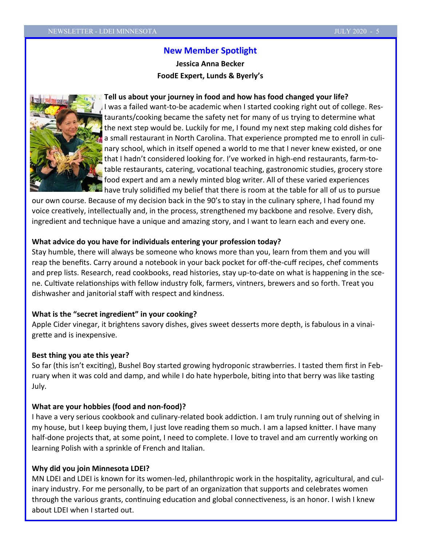# **New Member Spotlight**

**Jessica Anna Becker FoodE Expert, Lunds & Byerly's**

#### **Tell us about your journey in food and how has food changed your life?**



I was a failed want-to-be academic when I started cooking right out of college. Restaurants/cooking became the safety net for many of us trying to determine what the next step would be. Luckily for me, I found my next step making cold dishes for a small restaurant in North Carolina. That experience prompted me to enroll in culinary school, which in itself opened a world to me that I never knew existed, or one that I hadn't considered looking for. I've worked in high-end restaurants, farm-totable restaurants, catering, vocational teaching, gastronomic studies, grocery store food expert and am a newly minted blog writer. All of these varied experiences have truly solidified my belief that there is room at the table for all of us to pursue

our own course. Because of my decision back in the 90's to stay in the culinary sphere, I had found my voice creatively, intellectually and, in the process, strengthened my backbone and resolve. Every dish, ingredient and technique have a unique and amazing story, and I want to learn each and every one.

#### **What advice do you have for individuals entering your profession today?**

Stay humble, there will always be someone who knows more than you, learn from them and you will reap the benefits. Carry around a notebook in your back pocket for off-the-cuff recipes, chef comments and prep lists. Research, read cookbooks, read histories, stay up-to-date on what is happening in the scene. Cultivate relationships with fellow industry folk, farmers, vintners, brewers and so forth. Treat you dishwasher and janitorial staff with respect and kindness.

#### **What is the "secret ingredient" in your cooking?**

Apple Cider vinegar, it brightens savory dishes, gives sweet desserts more depth, is fabulous in a vinaigrette and is inexpensive.

#### **Best thing you ate this year?**

So far (this isn't exciting), Bushel Boy started growing hydroponic strawberries. I tasted them first in February when it was cold and damp, and while I do hate hyperbole, biting into that berry was like tasting July.

#### **What are your hobbies (food and non-food)?**

I have a very serious cookbook and culinary-related book addiction. I am truly running out of shelving in my house, but I keep buying them, I just love reading them so much. I am a lapsed knitter. I have many half-done projects that, at some point, I need to complete. I love to travel and am currently working on learning Polish with a sprinkle of French and Italian.

#### **Why did you join Minnesota LDEI?**

MN LDEI and LDEI is known for its women-led, philanthropic work in the hospitality, agricultural, and culinary industry. For me personally, to be part of an organization that supports and celebrates women through the various grants, continuing education and global connectiveness, is an honor. I wish I knew about LDEI when I started out.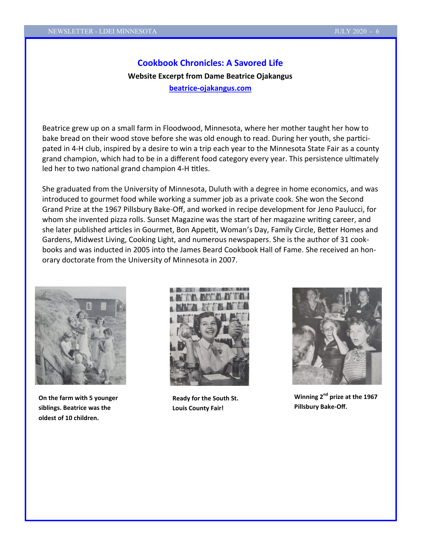# **Cookbook Chronicles: A Savored Life Website Excerpt from Dame Beatrice Ojakangus beatrice-[ojakangus.com](https://beatrice-ojakangas.com/)**

Beatrice grew up on a small farm in Floodwood, Minnesota, where her mother taught her how to bake bread on their wood stove before she was old enough to read. During her youth, she participated in 4-H club, inspired by a desire to win a trip each year to the Minnesota State Fair as a county grand champion, which had to be in a different food category every year. This persistence ultimately led her to two national grand champion 4-H titles.

She graduated from the University of Minnesota, Duluth with a degree in home economics, and was introduced to gourmet food while working a summer job as a private cook. She won the Second Grand Prize at the 1967 Pillsbury Bake-Off, and worked in recipe development for Jeno Paulucci, for whom she invented pizza rolls. Sunset Magazine was the start of her magazine writing career, and she later published articles in Gourmet, Bon Appetit, Woman's Day, Family Circle, Better Homes and Gardens, Midwest Living, Cooking Light, and numerous newspapers. She is the author of 31 cookbooks and was inducted in 2005 into the James Beard Cookbook Hall of Fame. She received an honorary doctorate from the University of Minnesota in 2007.



**On the farm with 5 younger siblings. Beatrice was the oldest of 10 children.**



**Ready for the South St. Louis County Fair!**



**Winning 2nd prize at the 1967 Pillsbury Bake-Off.**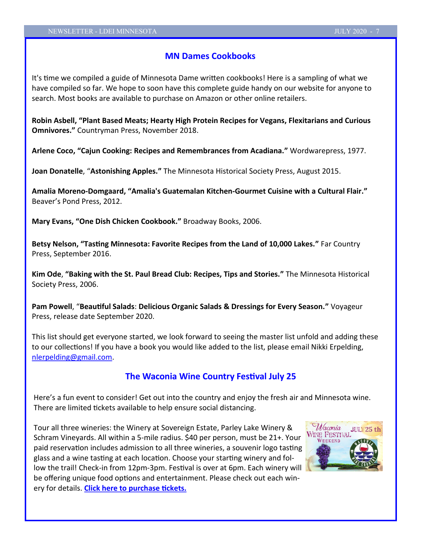### **MN Dames Cookbooks**

It's time we compiled a guide of Minnesota Dame written cookbooks! Here is a sampling of what we have compiled so far. We hope to soon have this complete guide handy on our website for anyone to search. Most books are available to purchase on Amazon or other online retailers.

**Robin Asbell, "Plant Based Meats; Hearty High Protein Recipes for Vegans, Flexitarians and Curious Omnivores."** Countryman Press, November 2018.

**Arlene Coco, "Cajun Cooking: Recipes and Remembrances from Acadiana."** Wordwarepress, 1977.

**Joan Donatelle**, "**Astonishing Apples."** The Minnesota Historical Society Press, August 2015.

**Amalia Moreno-Domgaard, "Amalia's Guatemalan Kitchen-Gourmet Cuisine with a Cultural Flair."**  Beaver's Pond Press, 2012.

**Mary Evans, "One Dish Chicken Cookbook."** Broadway Books, 2006.

**Betsy Nelson, "Tasting Minnesota: Favorite Recipes from the Land of 10,000 Lakes."** Far Country Press, September 2016.

**Kim Ode**, **"Baking with the St. Paul Bread Club: Recipes, Tips and Stories."** The Minnesota Historical Society Press, 2006.

**Pam Powell**, "**Beautiful Salads**: **Delicious Organic Salads & Dressings for Every Season."** Voyageur Press, release date September 2020.

This list should get everyone started, we look forward to seeing the master list unfold and adding these to our collections! If you have a book you would like added to the list, please email Nikki Erpelding, [nlerpelding@gmail.com.](mailto:nlerpelding@gmail.com)

# **The Waconia Wine Country Festival July 25**

Here's a fun event to consider! Get out into the country and enjoy the fresh air and Minnesota wine. There are limited tickets available to help ensure social distancing.

Tour all three wineries: the Winery at Sovereign Estate, Parley Lake Winery & Schram Vineyards. All within a 5-mile radius. \$40 per person, must be 21+. Your paid reservation includes admission to all three wineries, a souvenir logo tasting glass and a wine tasting at each location. Choose your starting winery and follow the trail! Check-in from 12pm-3pm. Festival is over at 6pm. Each winery will be offering unique food options and entertainment. Please check out each winery for details. **[Click here to purchase tickets.](https://my-site-107996-107562.square.site/waconia-wine-festival)**

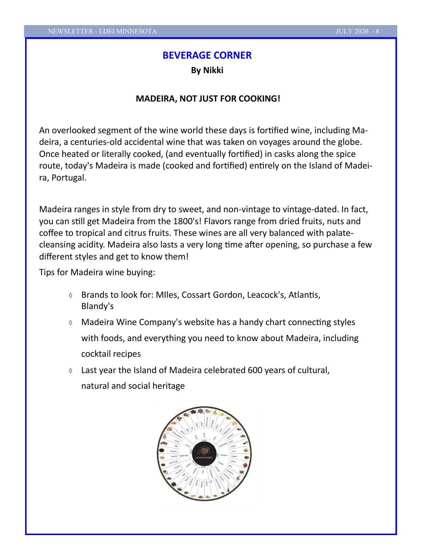#### **BEVERAGE CORNER**

**By Nikki**

#### **MADEIRA, NOT JUST FOR COOKING!**

An overlooked segment of the wine world these days is fortified wine, including Madeira, a centuries-old accidental wine that was taken on voyages around the globe. Once heated or literally cooked, (and eventually fortified) in casks along the spice route, today's Madeira is made (cooked and fortified) entirely on the Island of Madeira, Portugal.

Madeira ranges in style from dry to sweet, and non-vintage to vintage-dated. In fact, you can still get Madeira from the 1800's! Flavors range from dried fruits, nuts and coffee to tropical and citrus fruits. These wines are all very balanced with palatecleansing acidity. Madeira also lasts a very long time after opening, so purchase a few different styles and get to know them!

Tips for Madeira wine buying:

- Brands to look for: MIles, Cossart Gordon, Leacock's, Atlantis, Blandy's
- Madeira Wine Company's website has a handy chart connecting styles with foods, and everything you need to know about Madeira, including cocktail recipes
- $\circ$  Last year the Island of Madeira celebrated 600 years of cultural, natural and social heritage